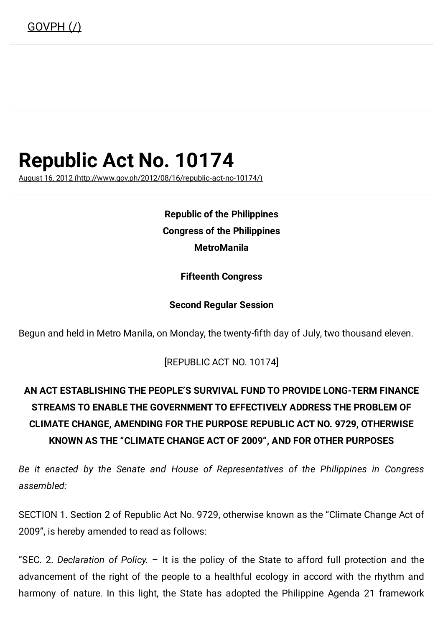# Republic Act No. 10174

August 16, 2012 [\(http://www.gov.ph/2012/08/16/republic-act-no-10174/\)](http://www.gov.ph/2012/08/16/republic-act-no-10174/)

Republic of the Philippines Congress of the Philippines **MetroManila** 

Fifteenth Congress

#### Second Regular Session

Begun and held in Metro Manila, on Monday, the twenty-fifth day of July, two thousand eleven.

[REPUBLIC ACT NO. 10174]

## AN ACT ESTABLISHING THE PEOPLE'S SURVIVAL FUND TO PROVIDE LONG-TERM FINANCE STREAMS TO ENABLE THE GOVERNMENT TO EFFECTIVELY ADDRESS THE PROBLEM OF CLIMATE CHANGE, AMENDING FOR THE PURPOSE REPUBLIC ACT NO. 9729, OTHERWISE KNOWN AS THE "CLIMATE CHANGE ACT OF 2009", AND FOR OTHER PURPOSES

Be it enacted by the Senate and House of Representatives of the Philippines in Congress assembled:

SECTION 1. Section 2 of Republic Act No. 9729, otherwise known as the "Climate Change Act of 2009", is hereby amended to read as follows:

"SEC. 2. Declaration of Policy.  $-$  It is the policy of the State to afford full protection and the advancement of the right of the people to a healthful ecology in accord with the rhythm and harmony of nature. In this light, the State has adopted the Philippine Agenda 21 framework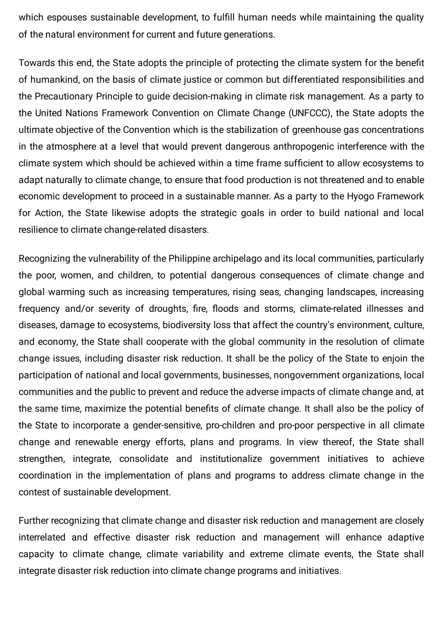which espouses sustainable development, to fulfill human needs while maintaining the quality of the natural environment for current and future generations.

Towards this end, the State adopts the principle of protecting the climate system for the benefit of humankind, on the basis of climate justice or common but differentiated responsibilities and the Precautionary Principle to guide decision-making in climate risk management. As a party to the United Nations Framework Convention on Climate Change (UNFCCC), the State adopts the ultimate objective of the Convention which is the stabilization of greenhouse gas concentrations in the atmosphere at a level that would prevent dangerous anthropogenic interference with the climate system which should be achieved within a time frame sufficient to allow ecosystems to adapt naturally to climate change, to ensure that food production is not threatened and to enable economic development to proceed in a sustainable manner. As a party to the Hyogo Framework for Action, the State likewise adopts the strategic goals in order to build national and local resilience to climate change-related disasters.

Recognizing the vulnerability of the Philippine archipelago and its local communities, particularly the poor, women, and children, to potential dangerous consequences of climate change and global warming such as increasing temperatures, rising seas, changing landscapes, increasing frequency and/or severity of droughts, fire, floods and storms, climate-related illnesses and diseases, damage to ecosystems, biodiversity loss that affect the country's environment, culture, and economy, the State shall cooperate with the global community in the resolution of climate change issues, including disaster risk reduction. It shall be the policy of the State to enjoin the participation of national and local governments, businesses, nongovernment organizations, local communities and the public to prevent and reduce the adverse impacts of climate change and, at the same time, maximize the potential benefits of climate change. It shall also be the policy of the State to incorporate a gender-sensitive, pro-children and pro-poor perspective in all climate change and renewable energy efforts, plans and programs. In view thereof, the State shall strengthen, integrate, consolidate and institutionalize government initiatives to achieve coordination in the implementation of plans and programs to address climate change in the contest of sustainable development.

Further recognizing that climate change and disaster risk reduction and management are closely interrelated and effective disaster risk reduction and management will enhance adaptive capacity to climate change, climate variability and extreme climate events, the State shall integrate disaster risk reduction into climate change programs and initiatives.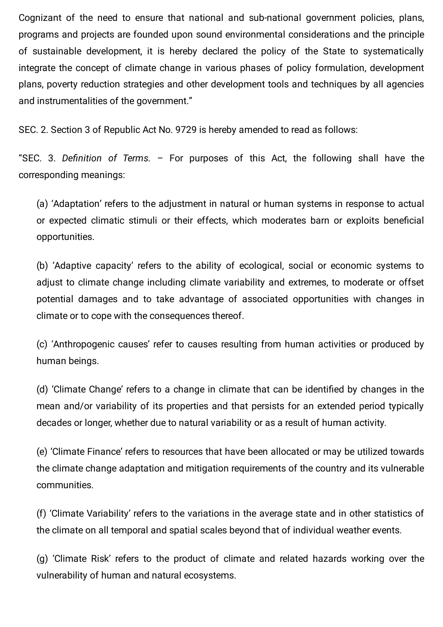Cognizant of the need to ensure that national and sub-national government policies, plans, programs and projects are founded upon sound environmental considerations and the principle of sustainable development, it is hereby declared the policy of the State to systematically integrate the concept of climate change in various phases of policy formulation, development plans, poverty reduction strategies and other development tools and techniques by all agencies and instrumentalities of the government."

SEC. 2. Section 3 of Republic Act No. 9729 is hereby amended to read as follows:

"SEC. 3. Definition of Terms.  $-$  For purposes of this Act, the following shall have the corresponding meanings:

(a) 'Adaptation' refers to the adjustment in natural or human systems in response to actual or expected climatic stimuli or their effects, which moderates barn or exploits beneficial opportunities.

(b) 'Adaptive capacity' refers to the ability of ecological, social or economic systems to adjust to climate change including climate variability and extremes, to moderate or offset potential damages and to take advantage of associated opportunities with changes in climate or to cope with the consequences thereof.

(c) 'Anthropogenic causes' refer to causes resulting from human activities or produced by human beings.

(d) 'Climate Change' refers to a change in climate that can be identified by changes in the mean and/or variability of its properties and that persists for an extended period typically decades or longer, whether due to natural variability or as a result of human activity.

(e) 'Climate Finance' refers to resources that have been allocated or may be utilized towards the climate change adaptation and mitigation requirements of the country and its vulnerable communities.

(f) 'Climate Variability' refers to the variations in the average state and in other statistics of the climate on all temporal and spatial scales beyond that of individual weather events.

(g) 'Climate Risk' refers to the product of climate and related hazards working over the vulnerability of human and natural ecosystems.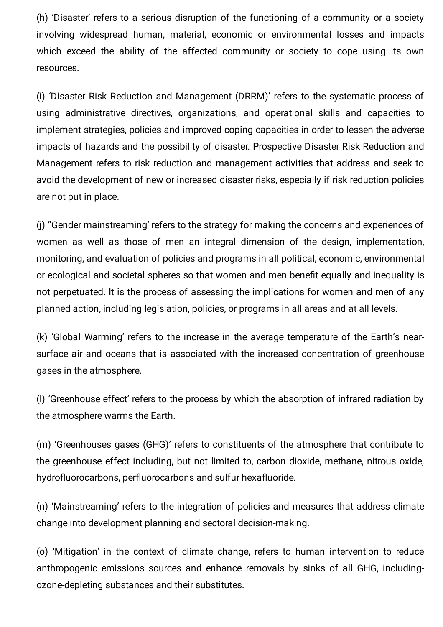(h) 'Disaster' refers to a serious disruption of the functioning of a community or a society involving widespread human, material, economic or environmental losses and impacts which exceed the ability of the affected community or society to cope using its own resources.

(i) 'Disaster Risk Reduction and Management (DRRM)' refers to the systematic process of using administrative directives, organizations, and operational skills and capacities to implement strategies, policies and improved coping capacities in order to lessen the adverse impacts of hazards and the possibility of disaster. Prospective Disaster Risk Reduction and Management refers to risk reduction and management activities that address and seek to avoid the development of new or increased disaster risks, especially if risk reduction policies are not put in place.

(j) "Gender mainstreaming' refers to the strategy for making the concerns and experiences of women as well as those of men an integral dimension of the design, implementation, monitoring, and evaluation of policies and programs in all political, economic, environmental or ecological and societal spheres so that women and men benefit equally and inequality is not perpetuated. It is the process of assessing the implications for women and men of any planned action, including legislation, policies, or programs in all areas and at all levels.

(k) 'Global Warming' refers to the increase in the average temperature of the Earth's nearsurface air and oceans that is associated with the increased concentration of greenhouse gases in the atmosphere.

(I) 'Greenhouse effect' refers to the process by which the absorption of infrared radiation by the atmosphere warms the Earth.

(m) 'Greenhouses gases (GHG)' refers to constituents of the atmosphere that contribute to the greenhouse effect including, but not limited to, carbon dioxide, methane, nitrous oxide, hydrofluorocarbons, perfluorocarbons and sulfur hexafluoride.

(n) 'Mainstreaming' refers to the integration of policies and measures that address climate change into development planning and sectoral decision-making.

(o) 'Mitigation' in the context of climate change, refers to human intervention to reduce anthropogenic emissions sources and enhance removals by sinks of all GHG, includingozone-depleting substances and their substitutes.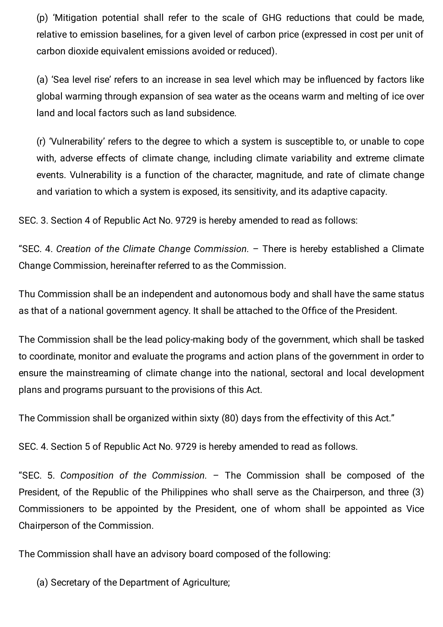(p) 'Mitigation potential shall refer to the scale of GHG reductions that could be made, relative to emission baselines, for a given level of carbon price (expressed in cost per unit of carbon dioxide equivalent emissions avoided or reduced).

(a) 'Sea level rise' refers to an increase in sea level which may be influenced by factors like global warming through expansion of sea water as the oceans warm and melting of ice over land and local factors such as land subsidence.

(r) 'Vulnerability' refers to the degree to which a system is susceptible to, or unable to cope with, adverse effects of climate change, including climate variability and extreme climate events. Vulnerability is a function of the character, magnitude, and rate of climate change and variation to which a system is exposed, its sensitivity, and its adaptive capacity.

SEC. 3. Section 4 of Republic Act No. 9729 is hereby amended to read as follows:

"SEC. 4. Creation of the Climate Change Commission. – There is hereby established a Climate Change Commission, hereinafter referred to as the Commission.

Thu Commission shall be an independent and autonomous body and shall have the same status as that of a national government agency. It shall be attached to the Office of the President.

The Commission shall be the lead policy-making body of the government, which shall be tasked to coordinate, monitor and evaluate the programs and action plans of the government in order to ensure the mainstreaming of climate change into the national, sectoral and local development plans and programs pursuant to the provisions of this Act.

The Commission shall be organized within sixty (80) days from the effectivity of this Act."

SEC. 4. Section 5 of Republic Act No. 9729 is hereby amended to read as follows.

"SEC. 5. Composition of the Commission. – The Commission shall be composed of the President, of the Republic of the Philippines who shall serve as the Chairperson, and three (3) Commissioners to be appointed by the President, one of whom shall be appointed as Vice Chairperson of the Commission.

The Commission shall have an advisory board composed of the following:

(a) Secretary of the Department of Agriculture;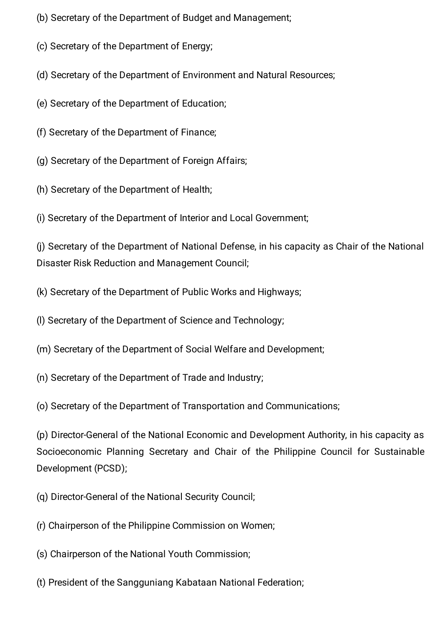- (b) Secretary of the Department of Budget and Management;
- (c) Secretary of the Department of Energy;
- (d) Secretary of the Department of Environment and Natural Resources;
- (e) Secretary of the Department of Education;
- (f) Secretary of the Department of Finance;
- (g) Secretary of the Department of Foreign Affairs;
- (h) Secretary of the Department of Health;
- (i) Secretary of the Department of Interior and Local Government;

(j) Secretary of the Department of National Defense, in his capacity as Chair of the National Disaster Risk Reduction and Management Council;

- (k) Secretary of the Department of Public Works and Highways;
- (l) Secretary of the Department of Science and Technology;
- (m) Secretary of the Department of Social Welfare and Development;
- (n) Secretary of the Department of Trade and Industry;
- (o) Secretary of the Department of Transportation and Communications;

(p) Director-General of the National Economic and Development Authority, in his capacity as Socioeconomic Planning Secretary and Chair of the Philippine Council for Sustainable Development (PCSD);

- (q) Director-General of the National Security Council;
- (r) Chairperson of the Philippine Commission on Women;
- (s) Chairperson of the National Youth Commission;
- (t) President of the Sangguniang Kabataan National Federation;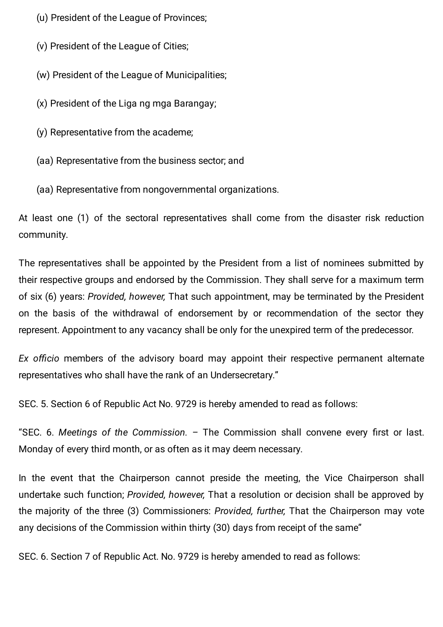(u) President of the League of Provinces;

(v) President of the League of Cities;

(w) President of the League of Municipalities;

(x) President of the Liga ng mga Barangay;

(y) Representative from the academe;

(aa) Representative from the business sector; and

(aa) Representative from nongovernmental organizations.

At least one (1) of the sectoral representatives shall come from the disaster risk reduction community.

The representatives shall be appointed by the President from a list of nominees submitted by their respective groups and endorsed by the Commission. They shall serve for a maximum term of six (6) years: Provided, however, That such appointment, may be terminated by the President on the basis of the withdrawal of endorsement by or recommendation of the sector they represent. Appointment to any vacancy shall be only for the unexpired term of the predecessor.

Ex officio members of the advisory board may appoint their respective permanent alternate representatives who shall have the rank of an Undersecretary."

SEC. 5. Section 6 of Republic Act No. 9729 is hereby amended to read as follows:

"SEC. 6. Meetings of the Commission.  $-$  The Commission shall convene every first or last. Monday of every third month, or as often as it may deem necessary.

In the event that the Chairperson cannot preside the meeting, the Vice Chairperson shall undertake such function; Provided, however, That a resolution or decision shall be approved by the majority of the three (3) Commissioners: Provided, further, That the Chairperson may vote any decisions of the Commission within thirty (30) days from receipt of the same"

SEC. 6. Section 7 of Republic Act. No. 9729 is hereby amended to read as follows: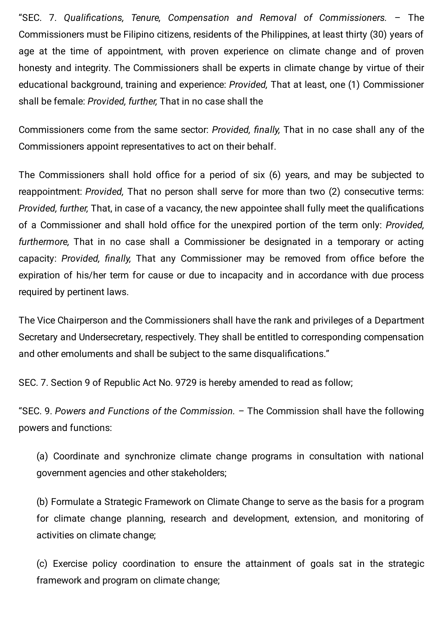"SEC. 7. Qualifications, Tenure, Compensation and Removal of Commissioners. - The Commissioners must be Filipino citizens, residents of the Philippines, at least thirty (30) years of age at the time of appointment, with proven experience on climate change and of proven honesty and integrity. The Commissioners shall be experts in climate change by virtue of their educational background, training and experience: Provided, That at least, one (1) Commissioner shall be female: Provided, further, That in no case shall the

Commissioners come from the same sector: Provided, finally, That in no case shall any of the Commissioners appoint representatives to act on their behalf.

The Commissioners shall hold office for a period of six (6) years, and may be subjected to reappointment: Provided, That no person shall serve for more than two (2) consecutive terms: Provided, further, That, in case of a vacancy, the new appointee shall fully meet the qualifications of a Commissioner and shall hold office for the unexpired portion of the term only: Provided, furthermore, That in no case shall a Commissioner be designated in a temporary or acting capacity: Provided, finally, That any Commissioner may be removed from office before the expiration of his/her term for cause or due to incapacity and in accordance with due process required by pertinent laws.

The Vice Chairperson and the Commissioners shall have the rank and privileges of a Department Secretary and Undersecretary, respectively. They shall be entitled to corresponding compensation and other emoluments and shall be subject to the same disqualifications."

SEC. 7. Section 9 of Republic Act No. 9729 is hereby amended to read as follow;

"SEC. 9. Powers and Functions of the Commission. – The Commission shall have the following powers and functions:

(a) Coordinate and synchronize climate change programs in consultation with national government agencies and other stakeholders;

(b) Formulate a Strategic Framework on Climate Change to serve as the basis for a program for climate change planning, research and development, extension, and monitoring of activities on climate change;

(c) Exercise policy coordination to ensure the attainment of goals sat in the strategic framework and program on climate change;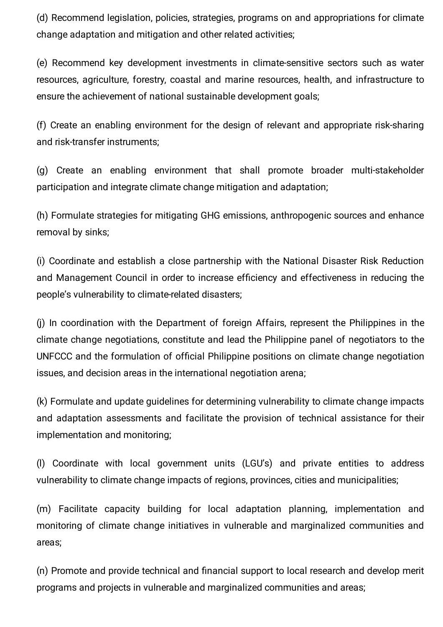(d) Recommend legislation, policies, strategies, programs on and appropriations for climate change adaptation and mitigation and other related activities;

(e) Recommend key development investments in climate-sensitive sectors such as water resources, agriculture, forestry, coastal and marine resources, health, and infrastructure to ensure the achievement of national sustainable development goals;

(f) Create an enabling environment for the design of relevant and appropriate risk-sharing and risk-transfer instruments;

(g) Create an enabling environment that shall promote broader multi-stakeholder participation and integrate climate change mitigation and adaptation;

(h) Formulate strategies for mitigating GHG emissions, anthropogenic sources and enhance removal by sinks;

(i) Coordinate and establish a close partnership with the National Disaster Risk Reduction and Management Council in order to increase efficiency and effectiveness in reducing the people's vulnerability to climate-related disasters;

(j) In coordination with the Department of foreign Affairs, represent the Philippines in the climate change negotiations, constitute and lead the Philippine panel of negotiators to the UNFCCC and the formulation of official Philippine positions on climate change negotiation issues, and decision areas in the international negotiation arena;

(k) Formulate and update guidelines for determining vulnerability to climate change impacts and adaptation assessments and facilitate the provision of technical assistance for their implementation and monitoring;

(l) Coordinate with local government units (LGU's) and private entities to address vulnerability to climate change impacts of regions, provinces, cities and municipalities;

(m) Facilitate capacity building for local adaptation planning, implementation and monitoring of climate change initiatives in vulnerable and marginalized communities and areas;

(n) Promote and provide technical and financial support to local research and develop merit programs and projects in vulnerable and marginalized communities and areas;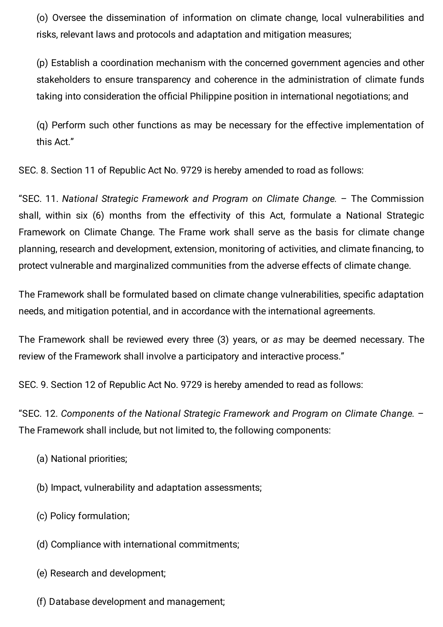(o) Oversee the dissemination of information on climate change, local vulnerabilities and risks, relevant laws and protocols and adaptation and mitigation measures;

(p) Establish a coordination mechanism with the concerned government agencies and other stakeholders to ensure transparency and coherence in the administration of climate funds taking into consideration the official Philippine position in international negotiations; and

(q) Perform such other functions as may be necessary for the effective implementation of this Act."

SEC. 8. Section 11 of Republic Act No. 9729 is hereby amended to road as follows:

"SEC. 11. National Strategic Framework and Program on Climate Change. – The Commission shall, within six (6) months from the effectivity of this Act, formulate a National Strategic Framework on Climate Change. The Frame work shall serve as the basis for climate change planning, research and development, extension, monitoring of activities, and climate financing, to protect vulnerable and marginalized communities from the adverse effects of climate change.

The Framework shall be formulated based on climate change vulnerabilities, specific adaptation needs, and mitigation potential, and in accordance with the international agreements.

The Framework shall be reviewed every three (3) years, or as may be deemed necessary. The review of the Framework shall involve a participatory and interactive process."

SEC. 9. Section 12 of Republic Act No. 9729 is hereby amended to read as follows:

"SEC. 12. Components of the National Strategic Framework and Program on Climate Change. – The Framework shall include, but not limited to, the following components:

- (a) National priorities;
- (b) Impact, vulnerability and adaptation assessments;
- (c) Policy formulation;
- (d) Compliance with international commitments;
- (e) Research and development;
- (f) Database development and management;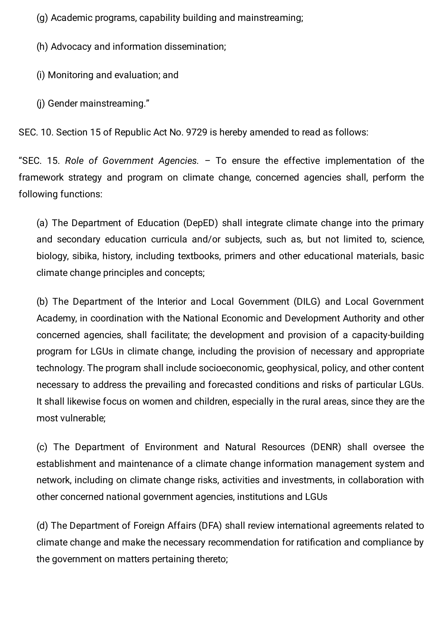(g) Academic programs, capability building and mainstreaming;

(h) Advocacy and information dissemination;

- (i) Monitoring and evaluation; and
- (j) Gender mainstreaming."

SEC. 10. Section 15 of Republic Act No. 9729 is hereby amended to read as follows:

"SEC. 15. Role of Government Agencies.  $-$  To ensure the effective implementation of the framework strategy and program on climate change, concerned agencies shall, perform the following functions:

(a) The Department of Education (DepED) shall integrate climate change into the primary and secondary education curricula and/or subjects, such as, but not limited to, science, biology, sibika, history, including textbooks, primers and other educational materials, basic climate change principles and concepts;

(b) The Department of the Interior and Local Government (DILG) and Local Government Academy, in coordination with the National Economic and Development Authority and other concerned agencies, shall facilitate; the development and provision of a capacity-building program for LGUs in climate change, including the provision of necessary and appropriate technology. The program shall include socioeconomic, geophysical, policy, and other content necessary to address the prevailing and forecasted conditions and risks of particular LGUs. It shall likewise focus on women and children, especially in the rural areas, since they are the most vulnerable;

(c) The Department of Environment and Natural Resources (DENR) shall oversee the establishment and maintenance of a climate change information management system and network, including on climate change risks, activities and investments, in collaboration with other concerned national government agencies, institutions and LGUs

(d) The Department of Foreign Affairs (DFA) shall review international agreements related to climate change and make the necessary recommendation for ratification and compliance by the government on matters pertaining thereto;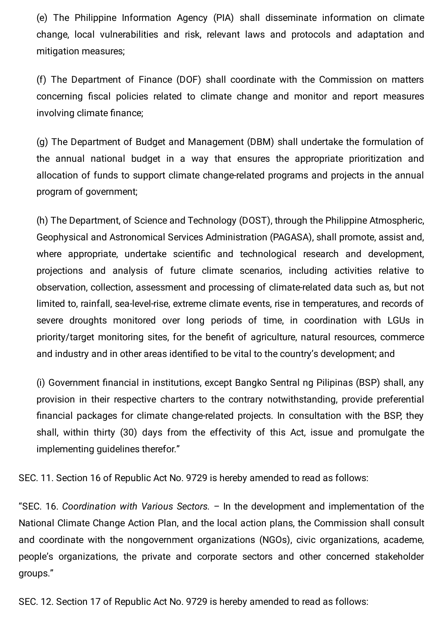(e) The Philippine Information Agency (PIA) shall disseminate information on climate change, local vulnerabilities and risk, relevant laws and protocols and adaptation and mitigation measures;

(f) The Department of Finance (DOF) shall coordinate with the Commission on matters concerning fiscal policies related to climate change and monitor and report measures involving climate finance;

(g) The Department of Budget and Management (DBM) shall undertake the formulation of the annual national budget in a way that ensures the appropriate prioritization and allocation of funds to support climate change-related programs and projects in the annual program of government;

(h) The Department, of Science and Technology (DOST), through the Philippine Atmospheric, Geophysical and Astronomical Services Administration (PAGASA), shall promote, assist and, where appropriate, undertake scientific and technological research and development, projections and analysis of future climate scenarios, including activities relative to observation, collection, assessment and processing of climate-related data such as, but not limited to, rainfall, sea-level-rise, extreme climate events, rise in temperatures, and records of severe droughts monitored over long periods of time, in coordination with LGUs in priority/target monitoring sites, for the benefit of agriculture, natural resources, commerce and industry and in other areas identified to be vital to the country's development; and

(i) Government financial in institutions, except Bangko Sentral ng Pilipinas (BSP) shall, any provision in their respective charters to the contrary notwithstanding, provide preferential nancial packages for climate change-related projects. In consultation with the BSP, they shall, within thirty (30) days from the effectivity of this Act, issue and promulgate the implementing guidelines therefor."

SEC. 11. Section 16 of Republic Act No. 9729 is hereby amended to read as follows:

"SEC. 16. Coordination with Various Sectors. – In the development and implementation of the National Climate Change Action Plan, and the local action plans, the Commission shall consult and coordinate with the nongovernment organizations (NGOs), civic organizations, academe, people's organizations, the private and corporate sectors and other concerned stakeholder groups."

SEC. 12. Section 17 of Republic Act No. 9729 is hereby amended to read as follows: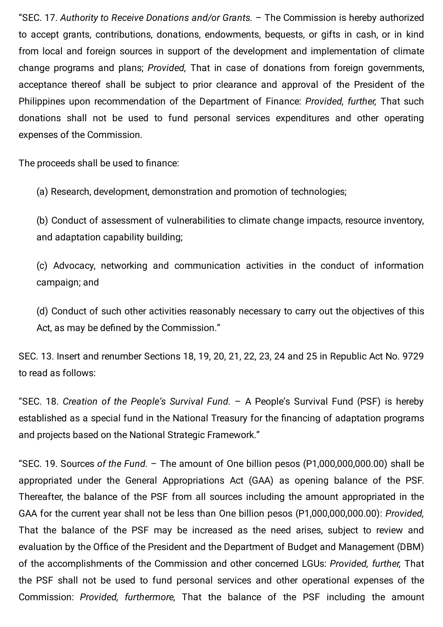"SEC. 17. Authority to Receive Donations and/or Grants. – The Commission is hereby authorized to accept grants, contributions, donations, endowments, bequests, or gifts in cash, or in kind from local and foreign sources in support of the development and implementation of climate change programs and plans; Provided, That in case of donations from foreign governments, acceptance thereof shall be subject to prior clearance and approval of the President of the Philippines upon recommendation of the Department of Finance: Provided, further, That such donations shall not be used to fund personal services expenditures and other operating expenses of the Commission.

The proceeds shall be used to finance:

(a) Research, development, demonstration and promotion of technologies;

(b) Conduct of assessment of vulnerabilities to climate change impacts, resource inventory, and adaptation capability building;

(c) Advocacy, networking and communication activities in the conduct of information campaign; and

(d) Conduct of such other activities reasonably necessary to carry out the objectives of this Act, as may be defined by the Commission."

SEC. 13. Insert and renumber Sections 18, 19, 20, 21, 22, 23, 24 and 25 in Republic Act No. 9729 to read as follows:

"SEC. 18. Creation of the People's Survival Fund. – A People's Survival Fund (PSF) is hereby established as a special fund in the National Treasury for the financing of adaptation programs and projects based on the National Strategic Framework."

"SEC. 19. Sources of the Fund. – The amount of One billion pesos (P1,000,000,000.00) shall be appropriated under the General Appropriations Act (GAA) as opening balance of the PSF. Thereafter, the balance of the PSF from all sources including the amount appropriated in the GAA for the current year shall not be less than One billion pesos (P1,000,000,000.00): Provided, That the balance of the PSF may be increased as the need arises, subject to review and evaluation by the Office of the President and the Department of Budget and Management (DBM) of the accomplishments of the Commission and other concerned LGUs: Provided, further, That the PSF shall not be used to fund personal services and other operational expenses of the Commission: Provided, furthermore, That the balance of the PSF including the amount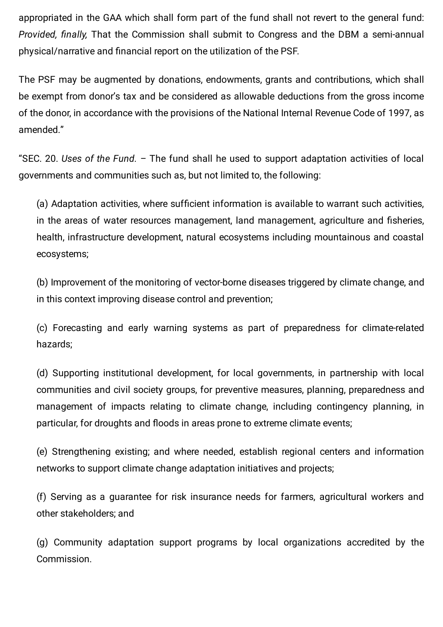appropriated in the GAA which shall form part of the fund shall not revert to the general fund: Provided, finally, That the Commission shall submit to Congress and the DBM a semi-annual physical/narrative and financial report on the utilization of the PSF.

The PSF may be augmented by donations, endowments, grants and contributions, which shall be exempt from donor's tax and be considered as allowable deductions from the gross income of the donor, in accordance with the provisions of the National Internal Revenue Code of 1997, as amended."

"SEC. 20. Uses of the Fund. – The fund shall he used to support adaptation activities of local governments and communities such as, but not limited to, the following:

(a) Adaptation activities, where sufficient information is available to warrant such activities, in the areas of water resources management, land management, agriculture and fisheries, health, infrastructure development, natural ecosystems including mountainous and coastal ecosystems;

(b) Improvement of the monitoring of vector-borne diseases triggered by climate change, and in this context improving disease control and prevention;

(c) Forecasting and early warning systems as part of preparedness for climate-related hazards;

(d) Supporting institutional development, for local governments, in partnership with local communities and civil society groups, for preventive measures, planning, preparedness and management of impacts relating to climate change, including contingency planning, in particular, for droughts and floods in areas prone to extreme climate events;

(e) Strengthening existing; and where needed, establish regional centers and information networks to support climate change adaptation initiatives and projects;

(f) Serving as a guarantee for risk insurance needs for farmers, agricultural workers and other stakeholders; and

(g) Community adaptation support programs by local organizations accredited by the Commission.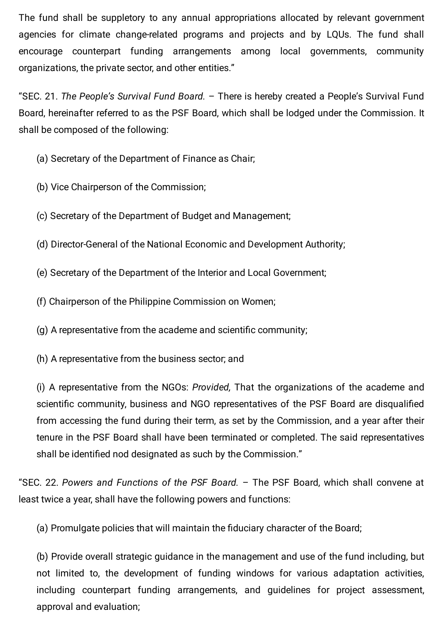The fund shall be suppletory to any annual appropriations allocated by relevant government agencies for climate change-related programs and projects and by LQUs. The fund shall encourage counterpart funding arrangements among local governments, community organizations, the private sector, and other entities."

"SEC. 21. The People's Survival Fund Board. – There is hereby created a People's Survival Fund Board, hereinafter referred to as the PSF Board, which shall be lodged under the Commission. It shall be composed of the following:

(a) Secretary of the Department of Finance as Chair;

(b) Vice Chairperson of the Commission;

(c) Secretary of the Department of Budget and Management;

(d) Director-General of the National Economic and Development Authority;

(e) Secretary of the Department of the Interior and Local Government;

(f) Chairperson of the Philippine Commission on Women;

 $(q)$  A representative from the academe and scientific community;

(h) A representative from the business sector; and

(i) A representative from the NGOs: Provided, That the organizations of the academe and scientific community, business and NGO representatives of the PSF Board are disqualified from accessing the fund during their term, as set by the Commission, and a year after their tenure in the PSF Board shall have been terminated or completed. The said representatives shall be identified nod designated as such by the Commission."

"SEC. 22. Powers and Functions of the PSF Board. – The PSF Board, which shall convene at least twice a year, shall have the following powers and functions:

(a) Promulgate policies that will maintain the fiduciary character of the Board;

(b) Provide overall strategic guidance in the management and use of the fund including, but not limited to, the development of funding windows for various adaptation activities, including counterpart funding arrangements, and guidelines for project assessment, approval and evaluation;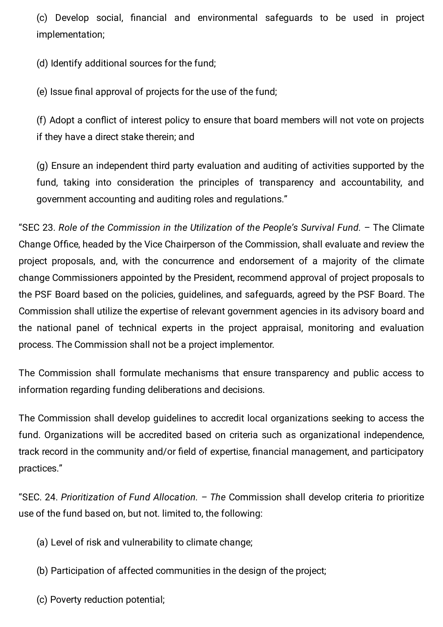(c) Develop social, financial and environmental safeguards to be used in project implementation;

(d) Identify additional sources for the fund;

(e) Issue final approval of projects for the use of the fund;

(f) Adopt a conflict of interest policy to ensure that board members will not vote on projects if they have a direct stake therein; and

(g) Ensure an independent third party evaluation and auditing of activities supported by the fund, taking into consideration the principles of transparency and accountability, and government accounting and auditing roles and regulations."

"SEC 23. Role of the Commission in the Utilization of the People's Survival Fund. – The Climate Change Office, headed by the Vice Chairperson of the Commission, shall evaluate and review the project proposals, and, with the concurrence and endorsement of a majority of the climate change Commissioners appointed by the President, recommend approval of project proposals to the PSF Board based on the policies, guidelines, and safeguards, agreed by the PSF Board. The Commission shall utilize the expertise of relevant government agencies in its advisory board and the national panel of technical experts in the project appraisal, monitoring and evaluation process. The Commission shall not be a project implementor.

The Commission shall formulate mechanisms that ensure transparency and public access to information regarding funding deliberations and decisions.

The Commission shall develop guidelines to accredit local organizations seeking to access the fund. Organizations will be accredited based on criteria such as organizational independence, track record in the community and/or field of expertise, financial management, and participatory practices."

"SEC. 24. Prioritization of Fund Allocation. – The Commission shall develop criteria to prioritize use of the fund based on, but not. limited to, the following:

- (a) Level of risk and vulnerability to climate change;
- (b) Participation of affected communities in the design of the project;
- (c) Poverty reduction potential;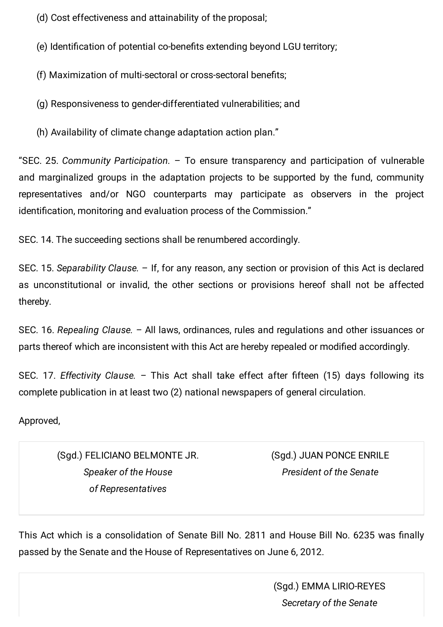(d) Cost effectiveness and attainability of the proposal;

(e) Identification of potential co-benefits extending beyond LGU territory;

(f) Maximization of multi-sectoral or cross-sectoral benefits;

(g) Responsiveness to gender-differentiated vulnerabilities; and

(h) Availability of climate change adaptation action plan."

"SEC. 25. Community Participation. – To ensure transparency and participation of vulnerable and marginalized groups in the adaptation projects to be supported by the fund, community representatives and/or NGO counterparts may participate as observers in the project identification, monitoring and evaluation process of the Commission."

SEC. 14. The succeeding sections shall be renumbered accordingly.

SEC. 15. Separability Clause. – If, for any reason, any section or provision of this Act is declared as unconstitutional or invalid, the other sections or provisions hereof shall not be affected thereby.

SEC. 16. Repealing Clause. – All laws, ordinances, rules and regulations and other issuances or parts thereof which are inconsistent with this Act are hereby repealed or modified accordingly.

SEC. 17. Effectivity Clause. – This Act shall take effect after fifteen  $(15)$  days following its complete publication in at least two (2) national newspapers of general circulation.

Approved,

(Sgd.) FELICIANO BELMONTE JR. Speaker of the House of Representatives

(Sgd.) JUAN PONCE ENRILE President of the Senate

This Act which is a consolidation of Senate Bill No. 2811 and House Bill No. 6235 was finally passed by the Senate and the House of Representatives on June 6, 2012.

> (Sgd.) EMMA LIRIO-REYES Secretary of the Senate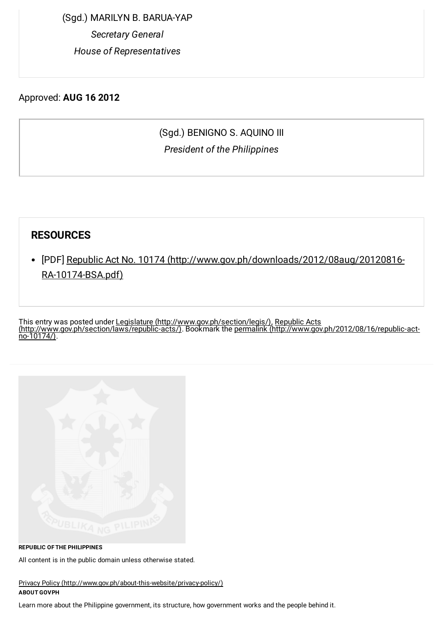(Sgd.) MARILYN B. BARUA-YAP Secretary General House of Representatives

Approved: AUG 16 2012

### (Sgd.) BENIGNO S. AQUINO III President of the Philippines

#### RESOURCES

[PDF] Republic Act No. 10174 [\(http://www.gov.ph/downloads/2012/08aug/20120816-](http://www.gov.ph/downloads/2012/08aug/20120816-RA-10174-BSA.pdf) RA-10174-BSA.pdf)

This entry was posted under Legislature [\(http://www.gov.ph/section/legis/\)](http://www.gov.ph/section/legis/), Republic Acts [\(http://www.gov.ph/section/laws/republic-acts/\).](http://www.gov.ph/section/laws/republic-acts/) Bookmark the permalink (http://www.gov.ph/2012/08/16/republic-act $no-10174$ )



REPUBLIC OFTHE PHILIPPINES

All content is in the public domain unless otherwise stated.

Privacy Policy [\(http://www.gov.ph/about-this-website/privacy-policy/\)](http://www.gov.ph/about-this-website/privacy-policy/) ABOUT GOVPH

Learn more about the Philippine government, its structure, how government works and the people behind it.